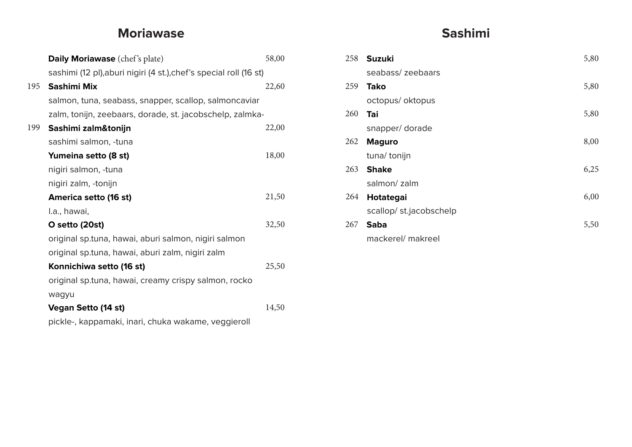# **Moriawase**

|     | <b>Daily Moriawase</b> (chef's plate)                              | 58,00 |  |  |
|-----|--------------------------------------------------------------------|-------|--|--|
|     | sashimi (12 pl), aburi nigiri (4 st.), chef's special roll (16 st) |       |  |  |
| 195 | Sashimi Mix                                                        | 22,60 |  |  |
|     | salmon, tuna, seabass, snapper, scallop, salmoncaviar              |       |  |  |
|     | zalm, tonijn, zeebaars, dorade, st. jacobschelp, zalmka-           |       |  |  |
| 199 | Sashimi zalm&tonijn                                                | 22,00 |  |  |
|     | sashimi salmon, -tuna                                              |       |  |  |
|     | Yumeina setto (8 st)                                               | 18,00 |  |  |
|     | nigiri salmon, -tuna                                               |       |  |  |
|     | nigiri zalm, -tonijn                                               |       |  |  |
|     | America setto (16 st)                                              | 21,50 |  |  |
|     | I.a., hawai,                                                       |       |  |  |
|     | O setto (20st)                                                     | 32,50 |  |  |
|     | original sp.tuna, hawai, aburi salmon, nigiri salmon               |       |  |  |
|     | original sp.tuna, hawai, aburi zalm, nigiri zalm                   |       |  |  |
|     | Konnichiwa setto (16 st)                                           | 25,50 |  |  |
|     | original sp.tuna, hawai, creamy crispy salmon, rocko               |       |  |  |
|     | wagyu                                                              |       |  |  |
|     | <b>Vegan Setto (14 st)</b>                                         | 14,50 |  |  |
|     |                                                                    |       |  |  |

pickle-, kappamaki, inari, chuka wakame, veggieroll

# **Sashimi**

| 258 | <b>Suzuki</b>          | 5,80 |
|-----|------------------------|------|
|     | seabass/zeebaars       |      |
| 259 | Tako                   | 5,80 |
|     | octopus/oktopus        |      |
| 260 | Tai                    | 5,80 |
|     | snapper/dorade         |      |
| 262 | <b>Maguro</b>          | 8,00 |
|     | tuna/tonijn            |      |
| 263 | <b>Shake</b>           | 6,25 |
|     | salmon/zalm            |      |
| 264 | <b>Hotategai</b>       | 6,00 |
|     | scallop/st.jacobschelp |      |
| 267 | Saba                   | 5,50 |
|     | mackerel/ makreel      |      |
|     |                        |      |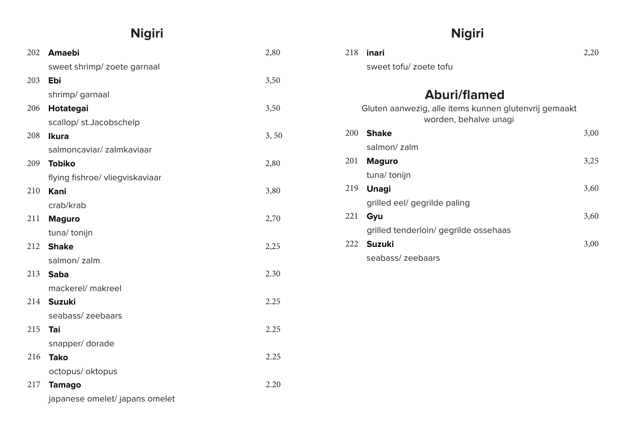## **Nigiri**

| 202 | <b>Amaebi</b>                       | 2,80 | 218 | inari                                                                          | 2,20 |
|-----|-------------------------------------|------|-----|--------------------------------------------------------------------------------|------|
|     | sweet shrimp/ zoete garnaal         |      |     | sweet tofu/ zoete tofu                                                         |      |
| 203 | Ebi                                 | 3,50 |     |                                                                                |      |
|     | shrimp/ garnaal                     |      |     | <b>Aburi/flamed</b>                                                            |      |
| 206 | Hotategai<br>scallop/st.Jacobschelp | 3,50 |     | Gluten aanwezig, alle items kunnen glutenvrij gemaakt<br>worden, behalve unagi |      |
| 208 | <b>Ikura</b>                        | 3,50 |     | 200 Shake                                                                      | 3,00 |
|     | salmoncaviar/zalmkaviaar            |      |     | salmon/ zalm                                                                   |      |
| 209 | <b>Tobiko</b>                       | 2,80 |     | 201 Maguro                                                                     | 3,25 |
|     | flying fishroe/ vliegviskaviaar     |      |     | tuna/ tonijn                                                                   |      |
| 210 | Kani                                | 3,80 |     | 219 <b>Unagi</b>                                                               | 3,60 |
|     | crab/krab                           |      |     | grilled eel/ gegrilde paling                                                   |      |
| 211 | <b>Maguro</b>                       | 2,70 |     | 221 Gyu                                                                        | 3,60 |
|     | tuna/ tonijn                        |      |     | grilled tenderloin/ gegrilde ossehaas                                          |      |
|     | 212 Shake                           | 2,25 |     | 222 Suzuki                                                                     | 3,00 |
|     | salmon/zalm                         |      |     | seabass/ zeebaars                                                              |      |
|     | 213 <b>Saba</b>                     | 2.30 |     |                                                                                |      |
|     | mackerel/ makreel                   |      |     |                                                                                |      |
|     | 214 Suzuki                          | 2.25 |     |                                                                                |      |
|     | seabass/ zeebaars                   |      |     |                                                                                |      |
| 215 | Tai                                 | 2.25 |     |                                                                                |      |
|     | snapper/dorade                      |      |     |                                                                                |      |
| 216 | <b>Tako</b>                         | 2.25 |     |                                                                                |      |
|     | octopus/ oktopus                    |      |     |                                                                                |      |
| 217 | <b>Tamago</b>                       | 2.20 |     |                                                                                |      |
|     | japanese omelet/ japans omelet      |      |     |                                                                                |      |

## **Nigiri**

| 218 | inari                                                                          | 2,20 |
|-----|--------------------------------------------------------------------------------|------|
|     | sweet tofu/ zoete tofu                                                         |      |
|     |                                                                                |      |
|     | <b>Aburi/flamed</b>                                                            |      |
|     | Gluten aanwezig, alle items kunnen glutenvrij gemaakt<br>worden, behalve unagi |      |
| 200 | <b>Shake</b>                                                                   | 3,00 |
|     | salmon/zalm                                                                    |      |
| 201 | <b>Maguro</b>                                                                  | 3,25 |
|     | tuna/tonijn                                                                    |      |
| 219 | <b>Unagi</b>                                                                   | 3,60 |
|     | grilled eel/ gegrilde paling                                                   |      |
| 221 | Gyu                                                                            | 3,60 |
|     | grilled tenderloin/ gegrilde ossehaas                                          |      |
| 222 | <b>Suzuki</b>                                                                  | 3,00 |
|     | seabass/zeebaars                                                               |      |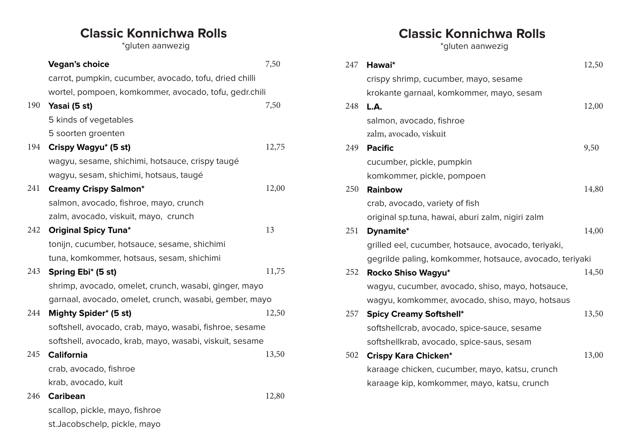## **Classic Konnichwa Rolls**

\*gluten aanwezig

|     | <b>Vegan's choice</b>                                   | 7,50  |  |
|-----|---------------------------------------------------------|-------|--|
|     | carrot, pumpkin, cucumber, avocado, tofu, dried chilli  |       |  |
|     | wortel, pompoen, komkommer, avocado, tofu, gedr.chili   |       |  |
| 190 | Yasai (5 st)                                            | 7,50  |  |
|     | 5 kinds of vegetables                                   |       |  |
|     | 5 soorten groenten                                      |       |  |
| 194 | Crispy Wagyu* (5 st)                                    | 12,75 |  |
|     | wagyu, sesame, shichimi, hotsauce, crispy taugé         |       |  |
|     | wagyu, sesam, shichimi, hotsaus, taugé                  |       |  |
| 241 | <b>Creamy Crispy Salmon*</b>                            | 12,00 |  |
|     | salmon, avocado, fishroe, mayo, crunch                  |       |  |
|     | zalm, avocado, viskuit, mayo, crunch                    |       |  |
| 242 | <b>Original Spicy Tuna*</b>                             | 13    |  |
|     | tonijn, cucumber, hotsauce, sesame, shichimi            |       |  |
|     | tuna, komkommer, hotsaus, sesam, shichimi               |       |  |
| 243 | Spring Ebi* (5 st)                                      | 11,75 |  |
|     | shrimp, avocado, omelet, crunch, wasabi, ginger, mayo   |       |  |
|     | garnaal, avocado, omelet, crunch, wasabi, gember, mayo  |       |  |
| 244 | Mighty Spider* (5 st)                                   | 12,50 |  |
|     | softshell, avocado, crab, mayo, wasabi, fishroe, sesame |       |  |
|     | softshell, avocado, krab, mayo, wasabi, viskuit, sesame |       |  |
| 245 | <b>California</b>                                       | 13,50 |  |
|     | crab, avocado, fishroe                                  |       |  |
|     | krab, avocado, kuit                                     |       |  |
| 246 | <b>Caribean</b>                                         | 12,80 |  |
|     | scallop, pickle, mayo, fishroe                          |       |  |

st.Jacobschelp, pickle, mayo

# **Classic Konnichwa Rolls**

\*gluten aanwezig

| 247 | Hawai*                                                  | 12,50 |
|-----|---------------------------------------------------------|-------|
|     | crispy shrimp, cucumber, mayo, sesame                   |       |
|     | krokante garnaal, komkommer, mayo, sesam                |       |
| 248 | L.A.                                                    | 12,00 |
|     | salmon, avocado, fishroe                                |       |
|     | zalm, avocado, viskuit                                  |       |
| 249 | <b>Pacific</b>                                          | 9,50  |
|     | cucumber, pickle, pumpkin                               |       |
|     | komkommer, pickle, pompoen                              |       |
| 250 | <b>Rainbow</b>                                          | 14,80 |
|     | crab, avocado, variety of fish                          |       |
|     | original sp.tuna, hawai, aburi zalm, nigiri zalm        |       |
| 251 | Dynamite*                                               | 14,00 |
|     | grilled eel, cucumber, hotsauce, avocado, teriyaki,     |       |
|     | gegrilde paling, komkommer, hotsauce, avocado, teriyaki |       |
| 252 | Rocko Shiso Wagyu*                                      | 14,50 |
|     | wagyu, cucumber, avocado, shiso, mayo, hotsauce,        |       |
|     | wagyu, komkommer, avocado, shiso, mayo, hotsaus         |       |
| 257 | <b>Spicy Creamy Softshell*</b>                          | 13,50 |
|     | softshellcrab, avocado, spice-sauce, sesame             |       |
|     | softshellkrab, avocado, spice-saus, sesam               |       |
| 502 | <b>Crispy Kara Chicken*</b>                             | 13,00 |
|     | karaage chicken, cucumber, mayo, katsu, crunch          |       |
|     | karaage kip, komkommer, mayo, katsu, crunch             |       |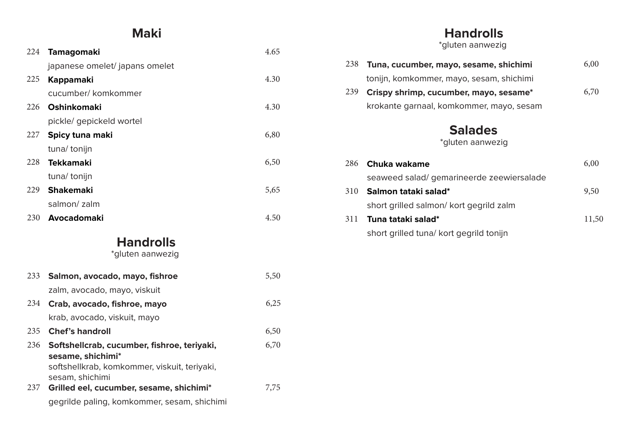#### **Maki**

| 224 | <b>Tamagomaki</b>                                                 | 4.65 |
|-----|-------------------------------------------------------------------|------|
|     | japanese omelet/ japans omelet                                    |      |
| 225 | <b>Kappamaki</b>                                                  | 4.30 |
|     | cucumber/ komkommer                                               |      |
| 226 | <b>Oshinkomaki</b>                                                | 4.30 |
|     | pickle/ gepickeld wortel                                          |      |
| 227 | Spicy tuna maki                                                   | 6,80 |
|     | tuna/ tonijn                                                      |      |
| 228 | <b>Tekkamaki</b>                                                  | 6,50 |
|     | tuna/ tonijn                                                      |      |
| 229 | <b>Shakemaki</b>                                                  | 5,65 |
|     | salmon/zalm                                                       |      |
| 230 | Avocadomaki                                                       | 4.50 |
|     | <b>Handrolls</b>                                                  |      |
|     | *gluten aanwezig                                                  |      |
| 233 | Salmon, avocado, mayo, fishroe                                    | 5,50 |
|     | zalm, avocado, mayo, viskuit                                      |      |
| 234 | Crab, avocado, fishroe, mayo                                      | 6,25 |
|     | krab, avocado, viskuit, mayo                                      |      |
| 235 | <b>Chef's handroll</b>                                            | 6,50 |
| 236 | Softshellcrab, cucumber, fishroe, teriyaki,                       | 6,70 |
|     | sesame, shichimi*<br>softshellkrab, komkommer, viskuit, teriyaki, |      |
|     | sesam, shichimi                                                   |      |
| 237 | Grilled eel, cucumber, sesame, shichimi*                          | 7,75 |
|     | gegrilde paling, komkommer, sesam, shichimi                       |      |

#### **Handrolls**

\*gluten aanwezig

| 238 | Tuna, cucumber, mayo, sesame, shichimi    | 6,00 |
|-----|-------------------------------------------|------|
|     | tonijn, komkommer, mayo, sesam, shichimi  |      |
| 239 | Crispy shrimp, cucumber, mayo, sesame*    | 6,70 |
|     | krokante garnaal, komkommer, mayo, sesam  |      |
|     | <b>Salades</b><br>*gluten aanwezig        |      |
| 286 | Chuka wakame                              | 6,00 |
|     | seaweed salad/ gemarineerde zeewiersalade |      |
| 310 | Salmon tataki salad*                      | 9.50 |

#### short grilled salmon/ kort gegrild zalm  $^{\prime},\mathcal{O}$ **Tuna tataki salad\*** 311 short grilled tuna/ kort gegrild tonijn 11,50